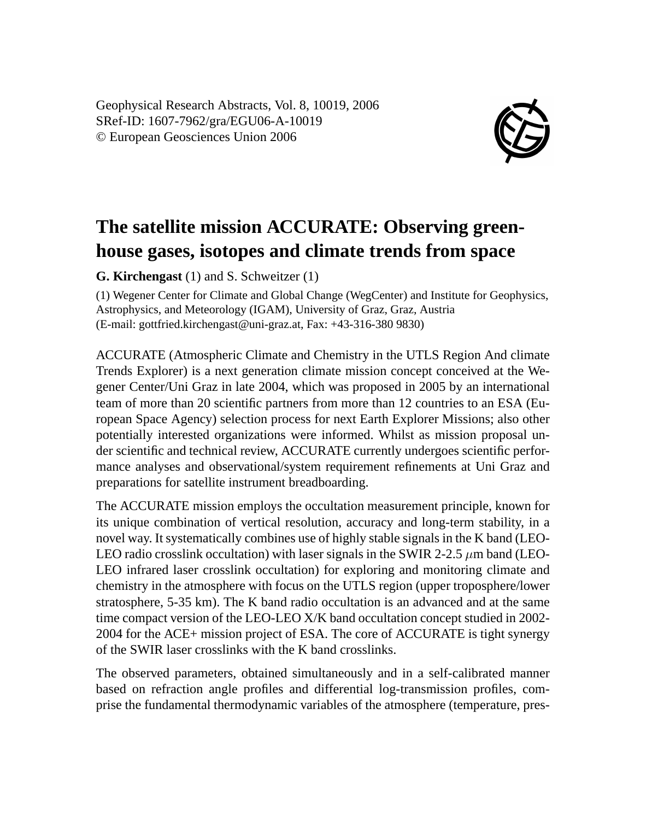Geophysical Research Abstracts, Vol. 8, 10019, 2006 SRef-ID: 1607-7962/gra/EGU06-A-10019 © European Geosciences Union 2006



## **The satellite mission ACCURATE: Observing greenhouse gases, isotopes and climate trends from space**

**G. Kirchengast** (1) and S. Schweitzer (1)

(1) Wegener Center for Climate and Global Change (WegCenter) and Institute for Geophysics, Astrophysics, and Meteorology (IGAM), University of Graz, Graz, Austria (E-mail: gottfried.kirchengast@uni-graz.at, Fax: +43-316-380 9830)

ACCURATE (Atmospheric Climate and Chemistry in the UTLS Region And climate Trends Explorer) is a next generation climate mission concept conceived at the Wegener Center/Uni Graz in late 2004, which was proposed in 2005 by an international team of more than 20 scientific partners from more than 12 countries to an ESA (European Space Agency) selection process for next Earth Explorer Missions; also other potentially interested organizations were informed. Whilst as mission proposal under scientific and technical review, ACCURATE currently undergoes scientific performance analyses and observational/system requirement refinements at Uni Graz and preparations for satellite instrument breadboarding.

The ACCURATE mission employs the occultation measurement principle, known for its unique combination of vertical resolution, accuracy and long-term stability, in a novel way. It systematically combines use of highly stable signals in the K band (LEO-LEO radio crosslink occultation) with laser signals in the SWIR 2-2.5  $\mu$ m band (LEO-LEO infrared laser crosslink occultation) for exploring and monitoring climate and chemistry in the atmosphere with focus on the UTLS region (upper troposphere/lower stratosphere, 5-35 km). The K band radio occultation is an advanced and at the same time compact version of the LEO-LEO X/K band occultation concept studied in 2002- 2004 for the ACE+ mission project of ESA. The core of ACCURATE is tight synergy of the SWIR laser crosslinks with the K band crosslinks.

The observed parameters, obtained simultaneously and in a self-calibrated manner based on refraction angle profiles and differential log-transmission profiles, comprise the fundamental thermodynamic variables of the atmosphere (temperature, pres-